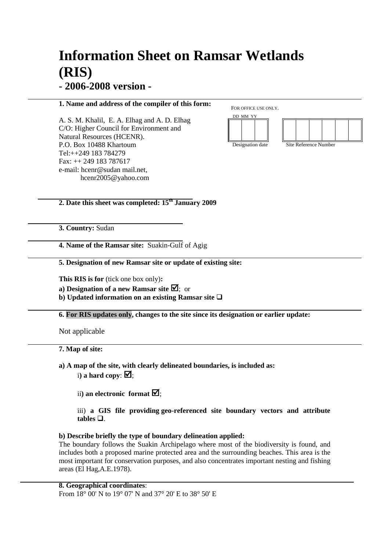# **Information Sheet on Ramsar Wetlands (RIS) - 2006-2008 version -**

# **1. Name and address of the compiler of this form:**

A. S. M. Khalil, E. A. Elhag and A. D. Elhag C/O: Higher Council for Environment and Natural Resources (HCENR). P.O. Box 10488 Khartoum Tel:++249 183 784279 Fax: ++ 249 183 787617 e-mail: hcenr@sudan mail.net, hcenr2005@yahoo.com

FOR OFFICE USE ONLY.



# **2. Date this sheet was completed: 15th January 2009**

**3. Country:** Sudan

**4. Name of the Ramsar site:** Suakin-Gulf of Agig

# **5. Designation of new Ramsar site or update of existing site:**

**This RIS is for** (tick one box only)**:** 

**a) Designation of a new Ramsar site**  $\overline{\mathbf{Z}}$ ; or

**b**) Updated information on an existing Ramsar site  $\Box$ 

**6. For RIS updates only, changes to the site since its designation or earlier update:**

Not applicable

# **7. Map of site:**

**a) A map of the site, with clearly delineated boundaries, is included as:** i) a hard copy:  $\mathbf{\nabla}$ :

ii) an electronic format  $\mathbf{\nabla}$ ;

# iii) **a GIS file providing geo-referenced site boundary vectors and attribute**   $tables \square$ .

# **b) Describe briefly the type of boundary delineation applied:**

The boundary follows the Suakin Archipelago where most of the biodiversity is found, and includes both a proposed marine protected area and the surrounding beaches. This area is the most important for conservation purposes, and also concentrates important nesting and fishing areas (El Hag,A.E.1978).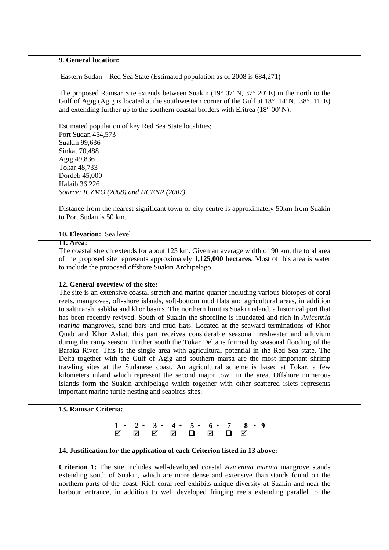# **9. General location:**

Eastern Sudan – Red Sea State (Estimated population as of 2008 is 684,271)

The proposed Ramsar Site extends between Suakin (19° 07' N, 37° 20' E) in the north to the Gulf of Agig (Agig is located at the southwestern corner of the Gulf at  $18^{\circ}$  14' N,  $38^{\circ}$  11' E) and extending further up to the southern coastal borders with Eritrea (18° 00' N).

Estimated population of key Red Sea State localities; Port Sudan 454,573 Suakin 99,636 Sinkat 70,488 Agig 49,836 Tokar 48,733 Dordeb 45,000 Halaib 36,226 *Source: ICZMO (2008) and HCENR (2007)* 

Distance from the nearest significant town or city centre is approximately 50km from Suakin to Port Sudan is 50 km.

## **10. Elevation:** Sea level

#### **11. Area:**

The coastal stretch extends for about 125 km. Given an average width of 90 km, the total area of the proposed site represents approximately **1,125,000 hectares**. Most of this area is water to include the proposed offshore Suakin Archipelago.

# **12. General overview of the site:**

The site is an extensive coastal stretch and marine quarter including various biotopes of coral reefs, mangroves, off-shore islands, soft-bottom mud flats and agricultural areas, in addition to saltmarsh, sabkha and khor basins. The northern limit is Suakin island, a historical port that has been recently revived. South of Suakin the shoreline is inundated and rich in *Avicennia marina* mangroves, sand bars and mud flats. Located at the seaward terminations of Khor Quab and Khor Ashat, this part receives considerable seasonal freshwater and alluvium during the rainy season. Further south the Tokar Delta is formed by seasonal flooding of the Baraka River. This is the single area with agricultural potential in the Red Sea state. The Delta together with the Gulf of Agig and southern marsa are the most important shrimp trawling sites at the Sudanese coast. An agricultural scheme is based at Tokar, a few kilometers inland which represent the second major town in the area. Offshore numerous islands form the Suakin archipelago which together with other scattered islets represents important marine turtle nesting and seabirds sites.

**13. Ramsar Criteria:** 

**1 • 2 • 3 • 4 • 5 • 6 • 7 8 • 9** --

# **14. Justification for the application of each Criterion listed in 13 above:**

**Criterion 1:** The site includes well-developed coastal *Avicennia marina* mangrove stands extending south of Suakin, which are more dense and extensive than stands found on the northern parts of the coast. Rich coral reef exhibits unique diversity at Suakin and near the harbour entrance, in addition to well developed fringing reefs extending parallel to the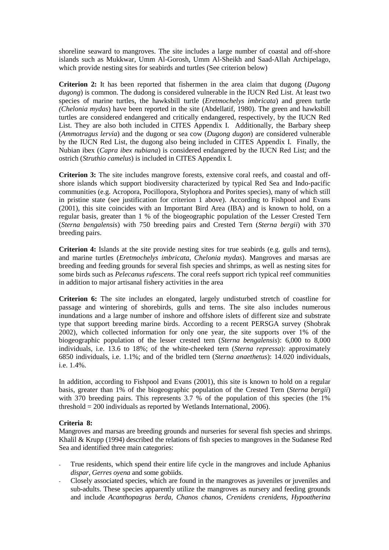shoreline seaward to mangroves. The site includes a large number of coastal and off-shore islands such as Mukkwar, Umm Al-Gorosh, Umm Al-Sheikh and Saad-Allah Archipelago, which provide nesting sites for seabirds and turtles (See criterion below)

**Criterion 2:** It has been reported that fishermen in the area claim that dugong (*Dugong dugong*) is common. The dudong is considered vulnerable in the IUCN Red List. At least two species of marine turtles, the hawksbill turtle (*Eretmochelys imbricata*) and green turtle *(Chelonia mydas*) have been reported in the site (Abdellatif, 1980). The green and hawksbill turtles are considered endangered and critically endangered, respectively, by the IUCN Red List. They are also both included in CITES Appendix I. Additionally, the Barbary sheep (*Ammotragus lervia*) and the dugong or sea cow (*Dugong dugon*) are considered vulnerable by the IUCN Red List, the dugong also being included in CITES Appendix I. Finally, the Nubian ibex (*Capra ibex nubiana*) is considered endangered by the IUCN Red List; and the ostrich (*Struthio camelus*) is included in CITES Appendix I.

**Criterion 3:** The site includes mangrove forests, extensive coral reefs, and coastal and offshore islands which support biodiversity characterized by typical Red Sea and Indo-pacific communities (e.g. Acropora, Pocillopora, Stylophora and Porites species), many of which still in pristine state (see justification for criterion 1 above). According to Fishpool and Evans (2001), this site coincides with an Important Bird Area (IBA) and is known to hold, on a regular basis, greater than 1 % of the biogeographic population of the Lesser Crested Tern (*Sterna bengalensis*) with 750 breeding pairs and Crested Tern (*Sterna bergii*) with 370 breeding pairs.

**Criterion 4:** Islands at the site provide nesting sites for true seabirds (e.g. gulls and terns), and marine turtles (*Eretmochelys imbricata*, *Chelonia mydas*). Mangroves and marsas are breeding and feeding grounds for several fish species and shrimps, as well as nesting sites for some birds such as *Pelecanus rufescens*. The coral reefs support rich typical reef communities in addition to major artisanal fishery activities in the area

**Criterion 6:** The site includes an elongated, largely undisturbed stretch of coastline for passage and wintering of shorebirds, gulls and terns. The site also includes numerous inundations and a large number of inshore and offshore islets of different size and substrate type that support breeding marine birds. According to a recent PERSGA survey (Shobrak 2002), which collected information for only one year, the site supports over 1% of the biogeographic population of the lesser crested tern (*Sterna bengalensis*): 6,000 to 8,000 individuals, i.e. 13.6 to 18%; of the white-cheeked tern (*Sterna repressa*): approximately 6850 individuals, i.e. 1.1%; and of the bridled tern (*Sterna anaethetus*): 14.020 individuals, i.e. 1.4%.

In addition, according to Fishpool and Evans (2001), this site is known to hold on a regular basis, greater than 1% of the biogeographic population of the Crested Tern (*Sterna bergii*) with 370 breeding pairs. This represents 3.7 % of the population of this species (the 1% threshold = 200 individuals as reported by Wetlands International, 2006).

# **Criteria 8:**

Mangroves and marsas are breeding grounds and nurseries for several fish species and shrimps. Khalil & Krupp (1994) described the relations of fish species to mangroves in the Sudanese Red Sea and identified three main categories:

- True residents, which spend their entire life cycle in the mangroves and include Aphanius *dispar, Gerres oyena* and some gobiids.
- Closely associated species, which are found in the mangroves as juveniles or juveniles and sub-adults. These species apparently utilize the mangroves as nursery and feeding grounds and include *Acanthopagrus berda, Chanos chanos, Crenidens crenidens, Hypoatherina*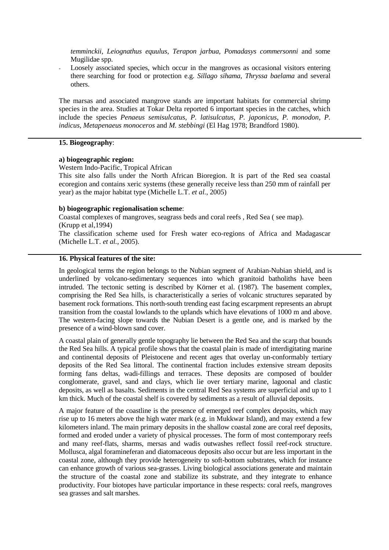*temminckii, Leiognathus equulus, Terapon jarbua, Pomadasys commersonni* and some Mugilidae spp.

Loosely associated species, which occur in the mangroves as occasional visitors entering there searching for food or protection e.g. *Sillago sihama, Thryssa baelama* and several others.

The marsas and associated mangrove stands are important habitats for commercial shrimp species in the area. Studies at Tokar Delta reported 6 important species in the catches, which include the species *Penaeus semisulcatus, P. latisulcatus, P. japonicus, P. monodon, P. indicus, Metapenaeus monoceros* and *M. stebbingi* (El Hag 1978; Brandford 1980).

#### **15. Biogeography**:

#### **a) biogeographic region:**

Western Indo-Pacific, Tropical African

This site also falls under the North African Bioregion. It is part of the Red sea coastal ecoregion and contains xeric systems (these generally receive less than 250 mm of rainfall per year) as the major habitat type (Michelle L.T. *et al.*, 2005)

# **b) biogeographic regionalisation scheme**:

Coastal complexes of mangroves, seagrass beds and coral reefs , Red Sea ( see map). (Krupp et al,1994)

The classification scheme used for Fresh water eco-regions of Africa and Madagascar (Michelle L.T. *et al.*, 2005).

# **16. Physical features of the site:**

In geological terms the region belongs to the Nubian segment of Arabian-Nubian shield, and is underlined by volcano-sedimentary sequences into which granitoid batholiths have been intruded. The tectonic setting is described by Körner et al. (1987). The basement complex, comprising the Red Sea hills, is characteristically a series of volcanic structures separated by basement rock formations. This north-south trending east facing escarpment represents an abrupt transition from the coastal lowlands to the uplands which have elevations of 1000 m and above. The western-facing slope towards the Nubian Desert is a gentle one, and is marked by the presence of a wind-blown sand cover.

A coastal plain of generally gentle topography lie between the Red Sea and the scarp that bounds the Red Sea hills. A typical profile shows that the coastal plain is made of interdigitating marine and continental deposits of Pleistocene and recent ages that overlay un-conformably tertiary deposits of the Red Sea littoral. The continental fraction includes extensive stream deposits forming fans deltas, wadi-fillings and terraces. These deposits are composed of boulder conglomerate, gravel, sand and clays, which lie over tertiary marine, lagoonal and clastic deposits, as well as basalts. Sediments in the central Red Sea systems are superficial and up to 1 km thick. Much of the coastal shelf is covered by sediments as a result of alluvial deposits.

A major feature of the coastline is the presence of emerged reef complex deposits, which may rise up to 16 meters above the high water mark (e.g. in Mukkwar Island), and may extend a few kilometers inland. The main primary deposits in the shallow coastal zone are coral reef deposits, formed and eroded under a variety of physical processes. The form of most contemporary reefs and many reef-flats, sharms, mersas and wadis outwashes reflect fossil reef-rock structure. Mollusca, algal foramineferan and diatomaceous deposits also occur but are less important in the coastal zone, although they provide heterogeneity to soft-bottom substrates, which for instance can enhance growth of various sea-grasses. Living biological associations generate and maintain the structure of the coastal zone and stabilize its substrate, and they integrate to enhance productivity. Four biotopes have particular importance in these respects: coral reefs, mangroves sea grasses and salt marshes.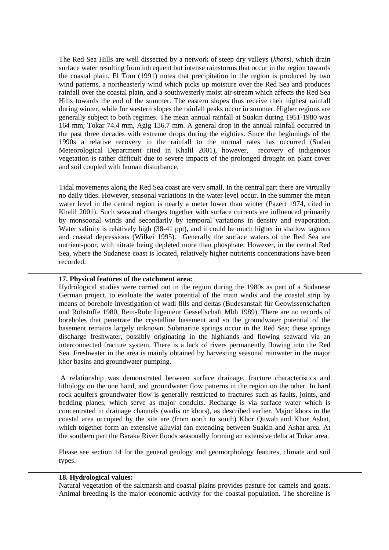The Red Sea Hills are well dissected by a network of steep dry valleys (*khors*), which drain surface water resulting from infrequent but intense rainstorms that occur in the region towards the coastal plain. El Tom (1991) notes that precipitation in the region is produced by two wind patterns, a northeasterly wind which picks up moisture over the Red Sea and produces rainfall over the coastal plain, and a southwesterly moist air-stream which affects the Red Sea Hills towards the end of the summer. The eastern slopes thus receive their highest rainfall during winter, while for western slopes the rainfall peaks occur in summer. Higher regions are generally subject to both regimes. The mean annual rainfall at Suakin during 1951-1980 was 164 mm; Tokar 74.4 mm, Agig 136.7 mm. A general drop in the annual rainfall occurred in the past three decades with extreme drops during the eighties. Since the beginnings of the 1990s a relative recovery in the rainfall to the normal rates has occurred (Sudan Meteorological Department cited in Khalil 2001), however, recovery of indigenous vegetation is rather difficult due to severe impacts of the prolonged drought on plant cover and soil coupled with human disturbance.

Tidal movements along the Red Sea coast are very small. In the central part there are virtually no daily tides. However, seasonal variations in the water level occur. In the summer the mean water level in the central region is nearly a meter lower than winter (Pazert 1974, cited in Khalil 2001). Such seasonal changes together with surface currents are influenced primarily by monsoonal winds and secondarily by temporal variations in density and evaporation. Water salinity is relatively high (38-41 ppt), and it could be much higher in shallow lagoons and coastal depressions (Wilkei 1995). Generally the surface waters of the Red Sea are nutrient-poor, with nitrate being depleted more than phosphate. However, in the central Red Sea, where the Sudanese coast is located, relatively higher nutrients concentrations have been recorded.

#### **17. Physical features of the catchment area:**

Hydrological studies were carried out in the region during the 1980s as part of a Sudanese German project, to evaluate the water potential of the main wadis and the coastal strip by means of borehole investigation of wadi fills and deltas (Budesanstalt für Geowissenschaften und Rohstoffe 1980, Rein-Ruhr Ingenieur Gessellschaft Mbh 1989). There are no records of boreholes that penetrate the crystalline basement and so the groundwater potential of the basement remains largely unknown. Submarine springs occur in the Red Sea; these springs discharge freshwater, possibly originating in the highlands and flowing seaward via an interconnected fracture system. There is a lack of rivers permanently flowing into the Red Sea. Freshwater in the area is mainly obtained by harvesting seasonal rainwater in the major khor basins and groundwater pumping.

 A relationship was demonstrated between surface drainage, fracture characteristics and lithology on the one hand, and groundwater flow patterns in the region on the other. In hard rock aquifers groundwater flow is generally restricted to fractures such as faults, joints, and bedding planes, which serve as major conduits. Recharge is via surface water which is concentrated in drainage channels (wadis or khors), as described earlier. Major khors in the coastal area occupied by the site are (from north to south) Khor Quwab and Khor Ashat, which together form an extensive alluvial fan extending between Suakin and Ashat area. At the southern part the Baraka River floods seasonally forming an extensive delta at Tokar area.

Please see section 14 for the general geology and geomorphology features, climate and soil types.

#### **18. Hydrological values:**

Natural vegetation of the saltmarsh and coastal plains provides pasture for camels and goats. Animal breeding is the major economic activity for the coastal population. The shoreline is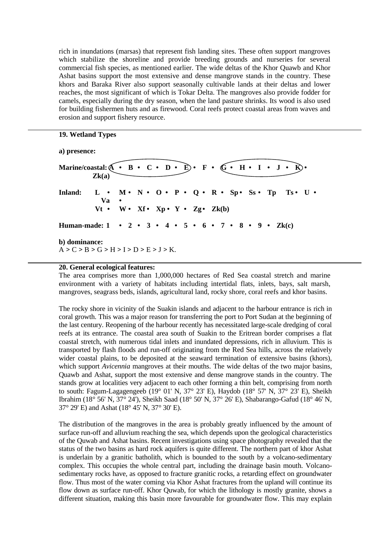rich in inundations (marsas) that represent fish landing sites. These often support mangroves which stabilize the shoreline and provide breeding grounds and nurseries for several commercial fish species, as mentioned earlier. The wide deltas of the Khor Quawb and Khor Ashat basins support the most extensive and dense mangrove stands in the country. These khors and Baraka River also support seasonally cultivable lands at their deltas and lower reaches, the most significant of which is Tokar Delta. The mangroves also provide fodder for camels, especially during the dry season, when the land pasture shrinks. Its wood is also used for building fishermen huts and as firewood. Coral reefs protect coastal areas from waves and erosion and support fishery resource.

# **19. Wetland Types**

#### **a) presence:**

Marine/coastal:  $\overline{A} \cdot B \cdot C \cdot D \cdot \overline{E} \cdot F \cdot \overline{G} \cdot H \cdot I \cdot J \cdot \overline{K} \cdot \overline{E}$  **Zk(a) Inland: L • M • N • O • P • Q • R • Sp • Ss • Tp Ts • U • Va**  $Vt \cdot W \cdot Xf \cdot Xp \cdot Y \cdot Zg \cdot Zk(b)$ **Human-made: 1 • 2 • 3 • 4 • 5 • 6 • 7 • 8 • 9 • Zk(c) b) dominance:**   $A > C > B > G > H > I > D > E > J > K$ .

#### **20. General ecological features:**

The area comprises more than 1,000,000 hectares of Red Sea coastal stretch and marine environment with a variety of habitats including intertidal flats, inlets, bays, salt marsh, mangroves, seagrass beds, islands, agricultural land, rocky shore, coral reefs and khor basins.

The rocky shore in vicinity of the Suakin islands and adjacent to the harbour entrance is rich in coral growth. This was a major reason for transferring the port to Port Sudan at the beginning of the last century. Reopening of the harbour recently has necessitated large-scale dredging of coral reefs at its entrance. The coastal area south of Suakin to the Eritrean border comprises a flat coastal stretch, with numerous tidal inlets and inundated depressions, rich in alluvium. This is transported by flash floods and run-off originating from the Red Sea hills, across the relatively wider coastal plains, to be deposited at the seaward termination of extensive basins (khors), which support *Avicennia* mangroves at their mouths. The wide deltas of the two major basins, Quawb and Ashat, support the most extensive and dense mangrove stands in the country. The stands grow at localities very adjacent to each other forming a thin belt, comprising from north to south: Fagum-Lagagengeeb (19° 01' N, 37° 23' E), Haydob (18° 57' N, 37° 23' E), Sheikh Ibrahim (18° 56' N, 37° 24'), Sheikh Saad (18° 50' N, 37° 26' E), Shabarango-Gafud (18° 46' N, 37° 29' E) and Ashat (18° 45' N, 37° 30' E).

The distribution of the mangroves in the area is probably greatly influenced by the amount of surface run-off and alluvium reaching the sea, which depends upon the geological characteristics of the Quwab and Ashat basins. Recent investigations using space photography revealed that the status of the two basins as hard rock aquifers is quite different. The northern part of khor Ashat is underlain by a granitic batholith, which is bounded to the south by a volcano-sedimentary complex. This occupies the whole central part, including the drainage basin mouth. Volcanosedimentary rocks have, as opposed to fracture granitic rocks, a retarding effect on groundwater flow. Thus most of the water coming via Khor Ashat fractures from the upland will continue its flow down as surface run-off. Khor Quwab, for which the lithology is mostly granite, shows a different situation, making this basin more favourable for groundwater flow. This may explain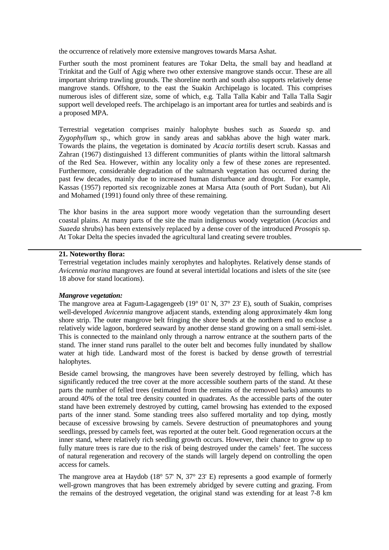the occurrence of relatively more extensive mangroves towards Marsa Ashat.

Further south the most prominent features are Tokar Delta, the small bay and headland at Trinkitat and the Gulf of Agig where two other extensive mangrove stands occur. These are all important shrimp trawling grounds. The shoreline north and south also supports relatively dense mangrove stands. Offshore, to the east the Suakin Archipelago is located. This comprises numerous isles of different size, some of which, e.g. Talla Talla Kabir and Talla Talla Sagir support well developed reefs. The archipelago is an important area for turtles and seabirds and is a proposed MPA.

Terrestrial vegetation comprises mainly halophyte bushes such as *Suaeda* sp. and *Zygophyllum* sp., which grow in sandy areas and sabkhas above the high water mark. Towards the plains, the vegetation is dominated by *Acacia tortilis* desert scrub. Kassas and Zahran (1967) distinguished 13 different communities of plants within the littoral saltmarsh of the Red Sea. However, within any locality only a few of these zones are represented. Furthermore, considerable degradation of the saltmarsh vegetation has occurred during the past few decades, mainly due to increased human disturbance and drought. For example, Kassas (1957) reported six recognizable zones at Marsa Atta (south of Port Sudan), but Ali and Mohamed (1991) found only three of these remaining.

The khor basins in the area support more woody vegetation than the surrounding desert coastal plains. At many parts of the site the main indigenous woody vegetation (*Acacias* and *Suaeda* shrubs) has been extensively replaced by a dense cover of the introduced *Prosopis* sp. At Tokar Delta the species invaded the agricultural land creating severe troubles.

# **21. Noteworthy flora:**

Terrestrial vegetation includes mainly xerophytes and halophytes. Relatively dense stands of *Avicennia marina* mangroves are found at several intertidal locations and islets of the site (see 18 above for stand locations).

#### *Mangrove vegetation:*

The mangrove area at Fagum-Lagagengeeb (19° 01' N, 37° 23' E), south of Suakin, comprises well-developed *Avicennia* mangrove adjacent stands, extending along approximately 4km long shore strip. The outer mangrove belt fringing the shore bends at the northern end to enclose a relatively wide lagoon, bordered seaward by another dense stand growing on a small semi-islet. This is connected to the mainland only through a narrow entrance at the southern parts of the stand. The inner stand runs parallel to the outer belt and becomes fully inundated by shallow water at high tide. Landward most of the forest is backed by dense growth of terrestrial halophytes.

Beside camel browsing, the mangroves have been severely destroyed by felling, which has significantly reduced the tree cover at the more accessible southern parts of the stand. At these parts the number of felled trees (estimated from the remains of the removed barks) amounts to around 40% of the total tree density counted in quadrates. As the accessible parts of the outer stand have been extremely destroyed by cutting, camel browsing has extended to the exposed parts of the inner stand. Some standing trees also suffered mortality and top dying, mostly because of excessive browsing by camels. Severe destruction of pneumatophores and young seedlings, pressed by camels feet, was reported at the outer belt. Good regeneration occurs at the inner stand, where relatively rich seedling growth occurs. However, their chance to grow up to fully mature trees is rare due to the risk of being destroyed under the camels' feet. The success of natural regeneration and recovery of the stands will largely depend on controlling the open access for camels.

The mangrove area at Haydob (18° 57' N, 37° 23' E) represents a good example of formerly well-grown mangroves that has been extremely abridged by severe cutting and grazing. From the remains of the destroyed vegetation, the original stand was extending for at least 7-8 km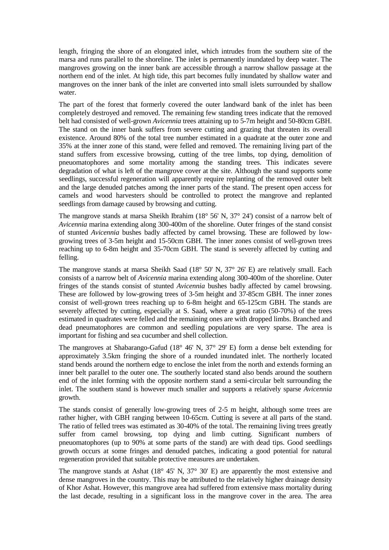length, fringing the shore of an elongated inlet, which intrudes from the southern site of the marsa and runs parallel to the shoreline. The inlet is permanently inundated by deep water. The mangroves growing on the inner bank are accessible through a narrow shallow passage at the northern end of the inlet. At high tide, this part becomes fully inundated by shallow water and mangroves on the inner bank of the inlet are converted into small islets surrounded by shallow water.

The part of the forest that formerly covered the outer landward bank of the inlet has been completely destroyed and removed. The remaining few standing trees indicate that the removed belt had consisted of well-grown *Avicennia* trees attaining up to 5-7m height and 50-80cm GBH. The stand on the inner bank suffers from severe cutting and grazing that threaten its overall existence. Around 80% of the total tree number estimated in a quadrate at the outer zone and 35% at the inner zone of this stand, were felled and removed. The remaining living part of the stand suffers from excessive browsing, cutting of the tree limbs, top dying, demolition of pneuomatophores and some mortality among the standing trees. This indicates severe degradation of what is left of the mangrove cover at the site. Although the stand supports some seedlings, successful regeneration will apparently require replanting of the removed outer belt and the large denuded patches among the inner parts of the stand. The present open access for camels and wood harvesters should be controlled to protect the mangrove and replanted seedlings from damage caused by browsing and cutting.

The mangrove stands at marsa Sheikh Ibrahim (18° 56' N, 37° 24') consist of a narrow belt of *Avicennia* marina extending along 300-400m of the shoreline. Outer fringes of the stand consist of stunted *Avicennia* bushes badly affected by camel browsing. These are followed by lowgrowing trees of 3-5m height and 15-50cm GBH. The inner zones consist of well-grown trees reaching up to 6-8m height and 35-70cm GBH. The stand is severely affected by cutting and felling.

The mangrove stands at marsa Sheikh Saad (18° 50' N, 37° 26' E) are relatively small. Each consists of a narrow belt of *Avicennia* marina extending along 300-400m of the shoreline. Outer fringes of the stands consist of stunted *Avicennia* bushes badly affected by camel browsing. These are followed by low-growing trees of 3-5m height and 37-85cm GBH. The inner zones consist of well-grown trees reaching up to 6-8m height and 65-125cm GBH. The stands are severely affected by cutting, especially at S. Saad, where a great ratio (50-70%) of the trees estimated in quadrates were felled and the remaining ones are with dropped limbs. Branched and dead pneumatophores are common and seedling populations are very sparse. The area is important for fishing and sea cucumber and shell collection.

The mangroves at Shabarango-Gafud (18° 46' N, 37° 29' E) form a dense belt extending for approximately 3.5km fringing the shore of a rounded inundated inlet. The northerly located stand bends around the northern edge to enclose the inlet from the north and extends forming an inner belt parallel to the outer one. The southerly located stand also bends around the southern end of the inlet forming with the opposite northern stand a semi-circular belt surrounding the inlet. The southern stand is however much smaller and supports a relatively sparse *Avicennia* growth.

The stands consist of generally low-growing trees of 2-5 m height, although some trees are rather higher, with GBH ranging between 10-65cm. Cutting is severe at all parts of the stand. The ratio of felled trees was estimated as 30-40% of the total. The remaining living trees greatly suffer from camel browsing, top dying and limb cutting. Significant numbers of pneuomatophores (up to 90% at some parts of the stand) are with dead tips. Good seedlings growth occurs at some fringes and denuded patches, indicating a good potential for natural regeneration provided that suitable protective measures are undertaken.

The mangrove stands at Ashat (18° 45' N, 37° 30' E) are apparently the most extensive and dense mangroves in the country. This may be attributed to the relatively higher drainage density of Khor Ashat. However, this mangrove area had suffered from extensive mass mortality during the last decade, resulting in a significant loss in the mangrove cover in the area. The area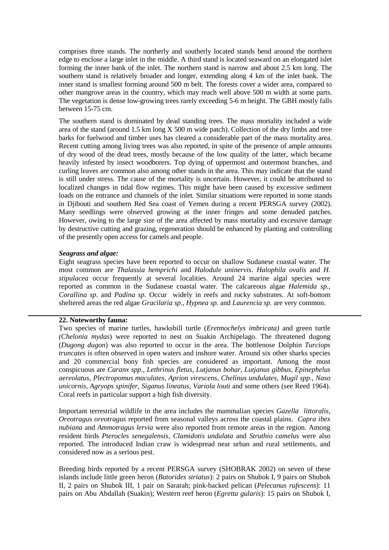comprises three stands. The northerly and southerly located stands bend around the northern edge to enclose a large inlet in the middle. A third stand is located seaward on an elongated islet forming the inner bank of the inlet. The northern stand is narrow and about 2.5 km long. The southern stand is relatively broader and longer, extending along 4 km of the inlet bank. The inner stand is smallest forming around 500 m belt. The forests cover a wider area, compared to other mangrove areas in the country, which may reach well above 500 m width at some parts. The vegetation is dense low-growing trees rarely exceeding 5-6 m height. The GBH mostly falls between 15-75 cm.

The southern stand is dominated by dead standing trees. The mass mortality included a wide area of the stand (around 1.5 km long X 500 m wide patch). Collection of the dry limbs and tree barks for fuelwood and timber uses has cleared a considerable part of the mass mortality area. Recent cutting among living trees was also reported, in spite of the presence of ample amounts of dry wood of the dead trees, mostly because of the low quality of the latter, which became heavily infested by insect woodborers. Top dying of uppermost and outermost branches, and curling leaves are common also among other stands in the area. This may indicate that the stand is still under stress. The cause of the mortality is uncertain. However, it could be attributed to localized changes in tidal flow regimes. This might have been caused by excessive sediment loads on the entrance and channels of the inlet. Similar situations were reported in some stands in Djibouti and southern Red Sea coast of Yemen during a recent PERSGA survey (2002). Many seedlings were observed growing at the inner fringes and some denuded patches. However, owing to the large size of the area affected by mass mortality and excessive damage by destructive cutting and grazing, regeneration should be enhanced by planting and controlling of the presently open access for camels and people.

#### *Seagrass and algae:*

Eight seagrass species have been reported to occur on shallow Sudanese coastal water. The most common are *Thalassia hemprichi* and *Halodule uninervis*. *Halophila ovalis* and *H. stipulacea* occur frequently at several localities. Around 24 marine algal species were reported as common in the Sudanese coastal water. The calcareous algae *Halemida sp.*, *Corallina sp.* and *Padina sp.* Occur widely in reefs and rocky substrates. At soft-bottom sheltered areas the red algae *Gracilaria sp.*, *Hypnea sp.* and *Laurencia sp.* are very common.

#### **22. Noteworthy fauna:**

Two species of marine turtles, hawksbill turtle (*Eretmochelys imbricata)* and green turtle *(Chelonia mydas*) were reported to nest on Suakin Archipelago. The threatened dugong (*Dugong dugon*) was also reported to occur in the area. The bottlenose Dolphin *Turciops truncates* is often observed in open waters and inshore water. Around six other sharks species and 20 commercial bony fish species are considered as important. Among the most conspicuous are *Caranx spp., Lethrinus fletus, Lutjanus bohar, Lutjanus gibbus, Epinephelus aereolatus, Plectropomus maculates, Aprion virescens, Chelinus undulates, Mugil spp., Naso unicornis, Agryops spinifer, Siganus lineatus, Variola louti* and some others (see Reed 1964). Coral reefs in particular support a high fish diversity.

Important terrestrial wildlife in the area includes the mammalian species *Gazella littoralis, Oreotragus oreotragus* reported from seasonal valleys across the coastal plains. *Capra ibex nubiana* and *Ammotragus lervia* were also reported from remote areas in the region. Among resident birds *Pterocles senegalensis, Clamidotis undulata* and *Struthio camelus* were also reported. The introduced Indian craw is widespread near urban and rural settlements, and considered now as a serious pest.

Breeding birds reported by a recent PERSGA survey (SHOBRAK 2002) on seven of these islands include little green heron (*Butorides striatus*): 2 pairs on Shubok I, 9 pairs on Shubok II, 2 pairs on Shubok III, 1 pair on Sararah; pink-backed pelican (*Pelecanus rufescens*): 11 pairs on Abu Abdallah (Suakin); Western reef heron (*Egretta gularis*): 15 pairs on Shubok I,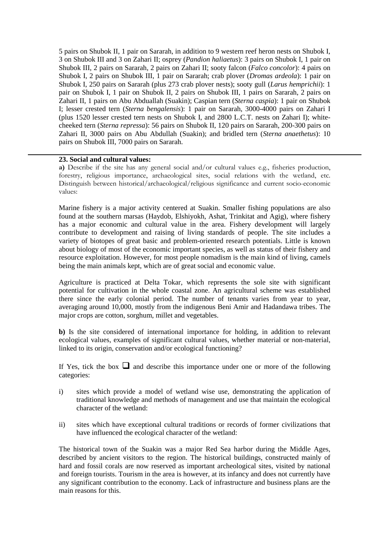5 pairs on Shubok II, 1 pair on Sararah, in addition to 9 western reef heron nests on Shubok I, 3 on Shubok III and 3 on Zahari II; osprey (*Pandion haliaetus*): 3 pairs on Shubok I, 1 pair on Shubok III, 2 pairs on Sararah, 2 pairs on Zahari II; sooty falcon (*Falco concolor*): 4 pairs on Shubok I, 2 pairs on Shubok III, 1 pair on Sararah; crab plover (*Dromas ardeola*): 1 pair on Shubok I, 250 pairs on Sararah (plus 273 crab plover nests); sooty gull (*Larus hemprichii*): 1 pair on Shubok I, 1 pair on Shubok II, 2 pairs on Shubok III, 1 pairs on Sararah, 2 pairs on Zahari II, 1 pairs on Abu Abduallah (Suakin); Caspian tern (*Sterna caspia*): 1 pair on Shubok I; lesser crested tern (*Sterna bengalensis*): 1 pair on Sararah, 3000-4000 pairs on Zahari I (plus 1520 lesser crested tern nests on Shubok I, and 2800 L.C.T. nests on Zahari I); whitecheeked tern (*Sterna repressa*): 56 pairs on Shubok II, 120 pairs on Sararah, 200-300 pairs on Zahari II, 3000 pairs on Abu Abdullah (Suakin); and bridled tern (*Sterna anaethetus*): 10 pairs on Shubok III, 7000 pairs on Sararah.

# **23. Social and cultural values:**

**a)** Describe if the site has any general social and/or cultural values e.g., fisheries production, forestry, religious importance, archaeological sites, social relations with the wetland, etc. Distinguish between historical/archaeological/religious significance and current socio-economic values:

Marine fishery is a major activity centered at Suakin. Smaller fishing populations are also found at the southern marsas (Haydob, Elshiyokh, Ashat, Trinkitat and Agig), where fishery has a major economic and cultural value in the area. Fishery development will largely contribute to development and raising of living standards of people. The site includes a variety of biotopes of great basic and problem-oriented research potentials. Little is known about biology of most of the economic important species, as well as status of their fishery and resource exploitation. However, for most people nomadism is the main kind of living, camels being the main animals kept, which are of great social and economic value.

Agriculture is practiced at Delta Tokar, which represents the sole site with significant potential for cultivation in the whole coastal zone. An agricultural scheme was established there since the early colonial period. The number of tenants varies from year to year, averaging around 10,000, mostly from the indigenous Beni Amir and Hadandawa tribes. The major crops are cotton, sorghum, millet and vegetables.

**b)** Is the site considered of international importance for holding, in addition to relevant ecological values, examples of significant cultural values, whether material or non-material, linked to its origin, conservation and/or ecological functioning?

If Yes, tick the box  $\Box$  and describe this importance under one or more of the following categories:

- i) sites which provide a model of wetland wise use, demonstrating the application of traditional knowledge and methods of management and use that maintain the ecological character of the wetland:
- ii) sites which have exceptional cultural traditions or records of former civilizations that have influenced the ecological character of the wetland:

The historical town of the Suakin was a major Red Sea harbor during the Middle Ages, described by ancient visitors to the region. The historical buildings, constructed mainly of hard and fossil corals are now reserved as important archeological sites, visited by national and foreign tourists. Tourism in the area is however, at its infancy and does not currently have any significant contribution to the economy. Lack of infrastructure and business plans are the main reasons for this.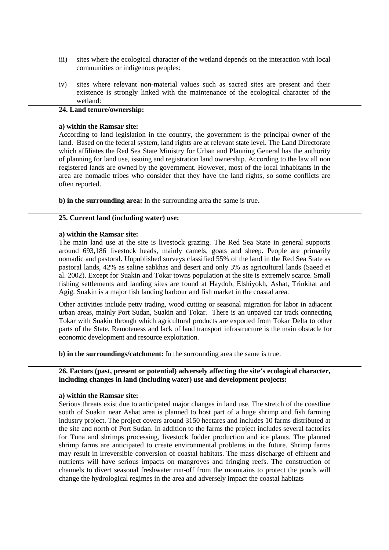- iii) sites where the ecological character of the wetland depends on the interaction with local communities or indigenous peoples:
- iv) sites where relevant non-material values such as sacred sites are present and their existence is strongly linked with the maintenance of the ecological character of the wetland:

#### **24. Land tenure/ownership:**

#### **a) within the Ramsar site:**

According to land legislation in the country, the government is the principal owner of the land. Based on the federal system, land rights are at relevant state level. The Land Directorate which affiliates the Red Sea State Ministry for Urban and Planning General has the authority of planning for land use, issuing and registration land ownership. According to the law all non registered lands are owned by the government. However, most of the local inhabitants in the area are nomadic tribes who consider that they have the land rights, so some conflicts are often reported.

**b) in the surrounding area:** In the surrounding area the same is true.

#### **25. Current land (including water) use:**

#### **a) within the Ramsar site:**

The main land use at the site is livestock grazing. The Red Sea State in general supports around 693,186 livestock heads, mainly camels, goats and sheep. People are primarily nomadic and pastoral. Unpublished surveys classified 55% of the land in the Red Sea State as pastoral lands, 42% as saline sabkhas and desert and only 3% as agricultural lands (Saeed et al. 2002). Except for Suakin and Tokar towns population at the site is extremely scarce. Small fishing settlements and landing sites are found at Haydob, Elshiyokh, Ashat, Trinkitat and Agig. Suakin is a major fish landing harbour and fish market in the coastal area.

Other activities include petty trading, wood cutting or seasonal migration for labor in adjacent urban areas, mainly Port Sudan, Suakin and Tokar. There is an unpaved car track connecting Tokar with Suakin through which agricultural products are exported from Tokar Delta to other parts of the State. Remoteness and lack of land transport infrastructure is the main obstacle for economic development and resource exploitation.

**b) in the surroundings/catchment:** In the surrounding area the same is true.

# **26. Factors (past, present or potential) adversely affecting the site's ecological character, including changes in land (including water) use and development projects:**

#### **a) within the Ramsar site:**

Serious threats exist due to anticipated major changes in land use. The stretch of the coastline south of Suakin near Ashat area is planned to host part of a huge shrimp and fish farming industry project. The project covers around 3150 hectares and includes 10 farms distributed at the site and north of Port Sudan. In addition to the farms the project includes several factories for Tuna and shrimps processing, livestock fodder production and ice plants. The planned shrimp farms are anticipated to create environmental problems in the future. Shrimp farms may result in irreversible conversion of coastal habitats. The mass discharge of effluent and nutrients will have serious impacts on mangroves and fringing reefs. The construction of channels to divert seasonal freshwater run-off from the mountains to protect the ponds will change the hydrological regimes in the area and adversely impact the coastal habitats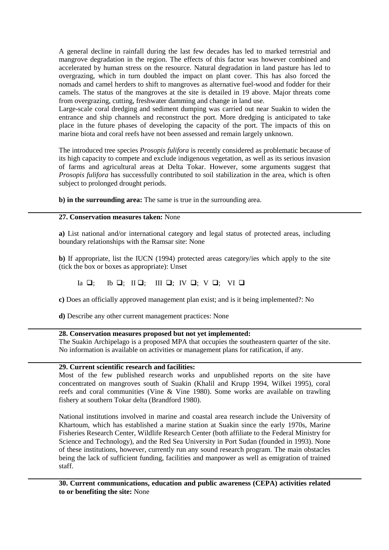A general decline in rainfall during the last few decades has led to marked terrestrial and mangrove degradation in the region. The effects of this factor was however combined and accelerated by human stress on the resource. Natural degradation in land pasture has led to overgrazing, which in turn doubled the impact on plant cover. This has also forced the nomads and camel herders to shift to mangroves as alternative fuel-wood and fodder for their camels. The status of the mangroves at the site is detailed in 19 above. Major threats come from overgrazing, cutting, freshwater damming and change in land use.

Large-scale coral dredging and sediment dumping was carried out near Suakin to widen the entrance and ship channels and reconstruct the port. More dredging is anticipated to take place in the future phases of developing the capacity of the port. The impacts of this on marine biota and coral reefs have not been assessed and remain largely unknown.

The introduced tree species *Prosopis fulifora* is recently considered as problematic because of its high capacity to compete and exclude indigenous vegetation, as well as its serious invasion of farms and agricultural areas at Delta Tokar. However, some arguments suggest that *Prosopis fulifora* has successfully contributed to soil stabilization in the area, which is often subject to prolonged drought periods.

**b) in the surrounding area:** The same is true in the surrounding area.

#### **27. Conservation measures taken:** None

**a)** List national and/or international category and legal status of protected areas, including boundary relationships with the Ramsar site: None

**b)** If appropriate, list the IUCN (1994) protected areas category/ies which apply to the site (tick the box or boxes as appropriate): Unset

#### Ia  $\Box$ : ; Ib  $\Box$ ; III  $\Box$ ; IV  $\Box$ ; V  $\Box$ ; VI  $\Box$

**c)** Does an officially approved management plan exist; and is it being implemented?: No

**d)** Describe any other current management practices: None

# **28. Conservation measures proposed but not yet implemented:**

The Suakin Archipelago is a proposed MPA that occupies the southeastern quarter of the site. No information is available on activities or management plans for ratification, if any.

#### **29. Current scientific research and facilities:**

Most of the few published research works and unpublished reports on the site have concentrated on mangroves south of Suakin (Khalil and Krupp 1994, Wilkei 1995), coral reefs and coral communities (Vine & Vine 1980). Some works are available on trawling fishery at southern Tokar delta (Brandford 1980).

National institutions involved in marine and coastal area research include the University of Khartoum, which has established a marine station at Suakin since the early 1970s, Marine Fisheries Research Center, Wildlife Research Center (both affiliate to the Federal Ministry for Science and Technology), and the Red Sea University in Port Sudan (founded in 1993). None of these institutions, however, currently run any sound research program. The main obstacles being the lack of sufficient funding, facilities and manpower as well as emigration of trained staff.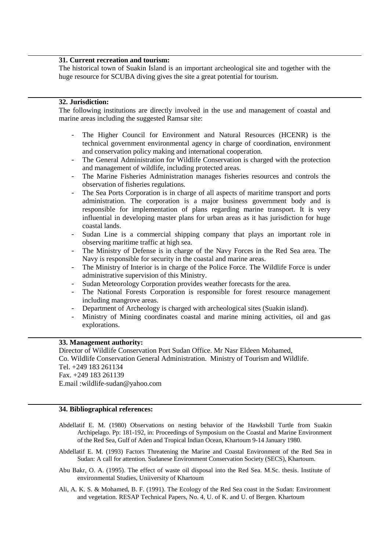#### **31. Current recreation and tourism:**

The historical town of Suakin Island is an important archeological site and together with the huge resource for SCUBA diving gives the site a great potential for tourism.

# **32. Jurisdiction:**

The following institutions are directly involved in the use and management of coastal and marine areas including the suggested Ramsar site:

- The Higher Council for Environment and Natural Resources (HCENR) is the technical government environmental agency in charge of coordination, environment and conservation policy making and international cooperation.
- The General Administration for Wildlife Conservation is charged with the protection and management of wildlife, including protected areas.
- The Marine Fisheries Administration manages fisheries resources and controls the observation of fisheries regulations.
- The Sea Ports Corporation is in charge of all aspects of maritime transport and ports administration. The corporation is a major business government body and is responsible for implementation of plans regarding marine transport. It is very influential in developing master plans for urban areas as it has jurisdiction for huge coastal lands.
- Sudan Line is a commercial shipping company that plays an important role in observing maritime traffic at high sea.
- The Ministry of Defense is in charge of the Navy Forces in the Red Sea area. The Navy is responsible for security in the coastal and marine areas.
- The Ministry of Interior is in charge of the Police Force. The Wildlife Force is under administrative supervision of this Ministry.
- Sudan Meteorology Corporation provides weather forecasts for the area.
- The National Forests Corporation is responsible for forest resource management including mangrove areas.
- Department of Archeology is charged with archeological sites (Suakin island).
- Ministry of Mining coordinates coastal and marine mining activities, oil and gas explorations.

#### **33. Management authority:**

Director of Wildlife Conservation Port Sudan Office. Mr Nasr Eldeen Mohamed, Co. Wildlife Conservation General Administration. Ministry of Tourism and Wildlife. Tel. +249 183 261134 Fax. +249 183 261139 E.mail :wildlife-sudan@yahoo.com

#### **34. Bibliographical references:**

- Abdellatif E. M. (1980) Observations on nesting behavior of the Hawksbill Turtle from Suakin Archipelago. Pp: 181-192, in: Proceedings of Symposium on the Coastal and Marine Environment of the Red Sea, Gulf of Aden and Tropical Indian Ocean, Khartoum 9-14 January 1980.
- Abdellatif E. M. (1993) Factors Threatening the Marine and Coastal Environment of the Red Sea in Sudan: A call for attention. Sudanese Environment Conservation Society (SECS), Khartoum.
- Abu Bakr, O. A. (1995). The effect of waste oil disposal into the Red Sea. M.Sc. thesis. Institute of environmental Studies, Uniiversity of Khartoum
- Ali, A. K. S. & Mohamed, B. F. (1991). The Ecology of the Red Sea coast in the Sudan: Environment and vegetation. RESAP Technical Papers, No. 4, U. of K. and U. of Bergen. Khartoum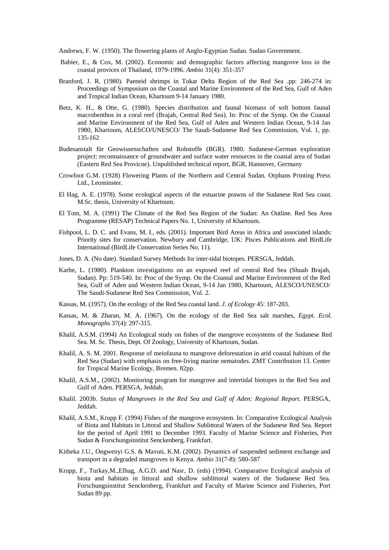Andrews, F. W. (1950). The flowering plants of Anglo-Egyptian Sudan. Sudan Government.

- Babier, E., & Cox, M. (2002). Economic and demographic factors affecting mangrove loss in the coastal provices of Thailand, 1979-1996. *Ambio* 31(4): 351-357
- Branford, J. R. (1980). Paeneid shrimps in Tokar Delta Region of the Red Sea .pp: 246-274 in: Proceedings of Symposium on the Coastal and Marine Environment of the Red Sea, Gulf of Aden and Tropical Indian Ocean, Khartoum 9-14 January 1980.
- Betz, K. H., & Otte, G. (1980). Species distribution and faunal biomass of soft bottom faunal macrobenthos in a coral reef (Brajah, Central Red Sea). In: Proc of the Symp. On the Coastal and Marine Environment of the Red Sea, Gulf of Aden and Western Indian Ocean, 9-14 Jan 1980, Khartoum, ALESCO/UNESCO/ The Saudi-Sudanese Red Sea Commission, Vol. 1, pp. 135-162
- Budesanstalt für Geowissenschaften und Rohstoffe (BGR). 1980. Sudanese-German exploration project: reconnaissance of groundwater and surface water resources in the coastal area of Sudan (Eastern Red Sea Provicne). Unpublished technical report, BGR, Hannover, Germany
- Crowfoot G.M. (1928) Flowering Plants of the Northern and Central Sudan. Orphans Printing Press Ltd., Leominster.
- El Hag, A. E. (1978). Some ecological aspects of the estuarine prawns of the Sudanese Red Sea coast. M.Sc. thesis, University of Khartoum.
- El Tom, M. A. (1991) The Climate of the Red Sea Region of the Sudan: An Outline. Red Sea Area Programme (RESAP) Technical Papers No. 1, University of Khartoum.
- Fishpool, L. D. C. and Evans, M. I., eds. (2001). Important Bird Areas in Africa and associated islands: Priority sites for conservation. Newbury and Cambridge, UK: Pisces Publications and BirdLife International (BirdLife Conservation Series No. 11).
- Jones, D. A. (No date). Standard Survey Methods for inter-tidal biotopes. PERSGA, Jeddah.
- Karbe, L. (1980). Plankton investigations on an exposed reef of central Red Sea (Shuab Brajah, Sudan). Pp: 519-540. In: Proc of the Symp. On the Coastal and Marine Environment of the Red Sea, Gulf of Aden and Western Indian Ocean, 9-14 Jan 1980, Khartoum, ALESCO/UNESCO/ The Saudi-Sudanese Red Sea Commission, Vol. 2.
- Kassas, M. (1957). On the ecology of the Red Sea coastal land. *J. of Ecology* 45: 187-203.
- Kassas, M. & Zharan, M. A. (1967). On the ecology of the Red Sea salt marshes, *Egypt. Ecol. Monographs* 37(4): 297-315.
- Khalil, A.S.M. (1994) An Ecological study on fishes of the mangrove ecosystems of the Sudanese Red Sea. M. Sc. Thesis, Dept. Of Zoology, University of Khartoum, Sudan.
- Khalil, A. S. M. 2001. Response of meiofauna to mangrove deforestation in arid coastal habitats of the Red Sea (Sudan) with emphasis on free-living marine nematodes. ZMT Contribution 13. Center for Tropical Marine Ecology, Bremen. 82pp.
- Khalil, A.S.M., (2002). Monitoring program for mangrove and intertidal biotopes in the Red Sea and Gulf of Aden. PERSGA, Jeddah.
- Khalil. 2003b. *Status of Mangroves in the Red Sea and Gulf of Aden: Regional Report.* PERSGA, Jeddah.
- Khalil, A.S.M., Krupp F. (1994) Fishes of the mangrove ecosystem. In: Comparative Ecological Analysis of Biota and Habitats in Littoral and Shallow Sublittoral Waters of the Sudanese Red Sea. Report for the period of April 1991 to December 1993. Faculty of Marine Science and Fisheries, Port Sudan & Forschungsinstitut Senckenberg, Frankfurt.
- Kitheka J.U., Ongwenyi G.S. & Mavuti, K.M. (2002). Dynamics of suspended sediment exchange and transport in a degraded mangroves in Kenya. *Ambio* 31(7-8): 580-587
- Krupp, F., Turkay,M.,Elhag, A.G.D. and Nasr, D. (eds) (1994). Comparative Ecological analysis of biota and habitats in littoral and shallow sublittoral waters of the Sudanese Red Sea. Forschungsinstitut Senckenberg, Frankfurt and Faculty of Marine Science and Fisheries, Port Sudan 89 pp.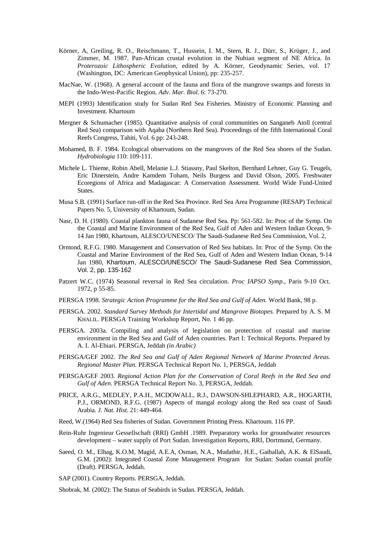- Körner, A, Greiling, R. O., Reischmann, T., Hussein, I. M., Stern, R. J., Dürr, S., Krüger, J., and Zimmer, M. 1987. Pan-African crustal evolution in the Nubian segment of NE Africa. In *Proterozoic Lithospheric Evolution,* edited by A. Körner, Geodynamic Series, vol. 17 (Washington, DC: American Geophysical Union), pp: 235-257.
- MacNae, W. (1968). A general account of the fauna and flora of the mangrove swamps and forests in the Indo-West-Pacific Region*. Adv. Mar. Biol.* 6: 73-270.
- MEPI (1993) Identification study for Sudan Red Sea Fisheries. Ministry of Economic Planning and Investment. Khartoum
- Mergner & Schumacher (1985). Quantitative analysis of coral communities on Sanganeb Atoll (central Red Sea) comparison with Aqaba (Northern Red Sea). Proceedings of the fifth International Coral Reefs Congress, Tahiti, Vol. 6 pp: 243-248.
- Mohamed, B. F. 1984. Ecological observations on the mangroves of the Red Sea shores of the Sudan. *Hydrobiologia* 110: 109-111.
- Michele L. Thieme, Robin Abell, Melanie L.J. Stiassny, Paul Skelton, Bernhard Lehner, Guy G. Teugels, Eric Dinerstein, Andre Kamdem Toham, Neils Burgess and David Olson, 2005. Freshwater Ecoregions of Africa and Madagascar: A Conservation Assessment. World Wide Fund-United States.
- Musa S.B. (1991) Surface run-off in the Red Sea Province. Red Sea Area Programme (RESAP) Technical Papers No. 5, University of Khartoum, Sudan.
- Nasr, D. H. (1980). Coastal plankton fauna of Sudanese Red Sea. Pp: 561-582. In: Proc of the Symp. On the Coastal and Marine Environment of the Red Sea, Gulf of Aden and Western Indian Ocean, 9- 14 Jan 1980, Khartoum, ALESCO/UNESCO/ The Saudi-Sudanese Red Sea Commission, Vol. 2,
- Ormond, R.F.G. 1980. Management and Conservation of Red Sea habitats. In: Proc of the Symp. On the Coastal and Marine Environment of the Red Sea, Gulf of Aden and Western Indian Ocean, 9-14 Jan 1980, Khartoum, ALESCO/UNESCO/ The Saudi-Sudanese Red Sea Commission, Vol. 2, pp. 135-162
- Patzert W.C. (1974) Seasonal reversal in Red Sea circulation. *Proc IAPSO Symp.,* Paris 9-10 Oct. 1972, p 55-85.
- PERSGA 1998. *Strategic Action Programme for the Red Sea and Gulf of Aden.* World Bank, 98 p.
- PERSGA. 2002. *Standard Survey Methods for Intertidal and Mangrove Biotopes.* Prepared by A. S. M KHALIL. PERSGA Training Workshop Report, No. 1 46 pp.
- PERSGA. 2003a. Compiling and analysis of legislation on protection of coastal and marine environment in the Red Sea and Gulf of Aden countries. Part I: Technical Reports. Prepared by A. I. Al-Ebiari. PERSGA, Jeddah *(in Arabic)*
- PERSGA/GEF 2002. *The Red Sea and Gulf of Aden Regional Network of Marine Protected Areas. Regional Master Plan.* PERSGA Technical Report No. 1, PERSGA, Jeddah
- PERSGA/GEF 2003. *Regional Action Plan for the Conservation of Coral Reefs in the Red Sea and Gulf of Aden.* PERSGA Technical Report No. 3, PERSGA, Jeddah.
- PRICE, A.R.G., MEDLEY, P.A.H., MCDOWALL, R.J., DAWSON-SHLEPHARD, A.R., HOGARTH, P.J., ORMOND, R.F.G. (1987) Aspects of mangal ecology along the Red sea coast of Saudi Arabia*. J. Nat. Hist.* 21: 449-464.
- Reed, W.(1964) Red Sea fisheries of Sudan. Government Printing Press. Khartoum. 116 PP.
- Rein-Ruhr Ingenieur Gessellschaft (RRI) GmbH .1989. Preparatory works for groundwater resources development – water supply of Port Sudan. Investigation Reports, RRI, Dortmund, Germany.
- Saeed, O. M., Elhag, K.O.M, Magid, A.E.A, Osman, N.A., Mudathir, H.E., Gaiballah, A.K. & ElSaudi, G.M. (2002): Integrated Coastal Zone Management Program for Sudan: Sudan coastal profile (Draft). PERSGA, Jeddah.

SAP (2001). Country Reports. PERSGA, Jeddah.

Shobrak, M. (2002): The Status of Seabirds in Sudan. PERSGA, Jeddah.